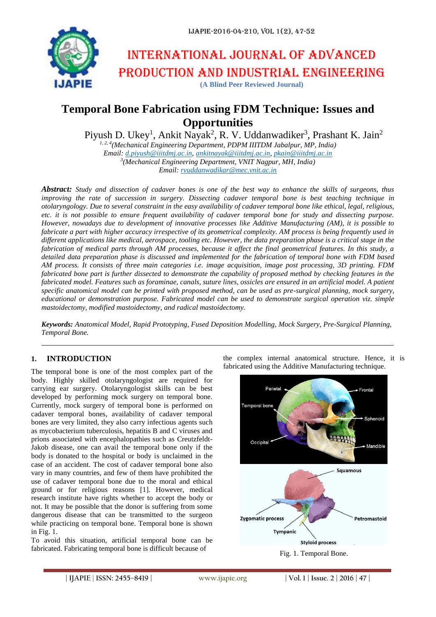

# International journal of advanced production and industrial engineering

**(A Blind Peer Reviewed Journal)**

## **Temporal Bone Fabrication using FDM Technique: Issues and Opportunities**

Piyush D. Ukey<sup>1</sup>, Ankit Nayak<sup>2</sup>, R. V. Uddanwadiker<sup>3</sup>, Prashant K. Jain<sup>2</sup>

*1, 2, 4(Mechanical Engineering Department, PDPM IIITDM Jabalpur, MP, India) Email: [d.piyush@iiitdmj.ac.in,](mailto:d.piyush@iiitdmj.ac.in) [ankitnayak@iiitdmj.ac.in,](mailto:ankitnayak@iiitdmj.ac.in) [pkain@iiitdmj.ac.in](mailto:pkain@iiitdmj.ac.in) 3 (Mechanical Engineering Department, VNIT Nagpur, MH, India) Email: [rvuddanwadikar@mec.vnit.ac.in](mailto:rvuddanwadikar@mec.vnit.ac.in)*

*Abstract: Study and dissection of cadaver bones is one of the best way to enhance the skills of surgeons, thus improving the rate of succession in surgery. Dissecting cadaver temporal bone is best teaching technique in otolaryngology. Due to several constraint in the easy availability of cadaver temporal bone like ethical, legal, religious, etc. it is not possible to ensure frequent availability of cadaver temporal bone for study and dissecting purpose. However, nowadays due to development of innovative processes like Additive Manufacturing (AM), it is possible to fabricate a part with higher accuracy irrespective of its geometrical complexity. AM process is being frequently used in different applications like medical, aerospace, tooling etc. However, the data preparation phase is a critical stage in the fabrication of medical parts through AM processes, because it affect the final geometrical features. In this study, a detailed data preparation phase is discussed and implemented for the fabrication of temporal bone with FDM based AM process. It consists of three main categories i.e. image acquisition, image post processing, 3D printing. FDM fabricated bone part is further dissected to demonstrate the capability of proposed method by checking features in the fabricated model. Features such as foraminae, canals, suture lines, ossicles are ensured in an artificial model. A patient specific anatomical model can be printed with proposed method, can be used as pre-surgical planning, mock surgery, educational or demonstration purpose. Fabricated model can be used to demonstrate surgical operation viz. simple mastoidectomy, modified mastoidectomy, and radical mastoidectomy.*

*Keywords: Anatomical Model, Rapid Prototyping, Fused Deposition Modelling, Mock Surgery, Pre-Surgical Planning, Temporal Bone.*

## **1. INTRODUCTION**

The temporal bone is one of the most complex part of the body. Highly skilled otolaryngologist are required for carrying ear surgery. Otolaryngologist skills can be best developed by performing mock surgery on temporal bone. Currently, mock surgery of temporal bone is performed on cadaver temporal bones, availability of cadaver temporal bones are very limited, they also carry infectious agents such as mycobacterium tuberculosis, hepatitis B and C viruses and prions associated with encephalopathies such as Creutzfeldt-Jakob disease, one can avail the temporal bone only if the body is donated to the hospital or body is unclaimed in the case of an accident. The cost of cadaver temporal bone also vary in many countries, and few of them have prohibited the use of cadaver temporal bone due to the moral and ethical ground or for religious reasons [1]. However, medical research institute have rights whether to accept the body or not. It may be possible that the donor is suffering from some dangerous disease that can be transmitted to the surgeon while practicing on temporal bone. Temporal bone is shown in Fig. 1.

To avoid this situation, artificial temporal bone can be fabricated. Fabricating temporal bone is difficult because of

the complex internal anatomical structure. Hence, it is fabricated using the Additive Manufacturing technique.

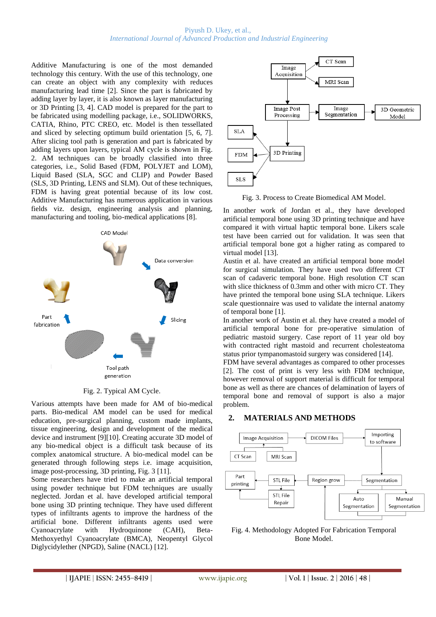#### Piyush D. Ukey, et al., *International Journal of Advanced Production and Industrial Engineering*

Additive Manufacturing is one of the most demanded technology this century. With the use of this technology, one can create an object with any complexity with reduces manufacturing lead time [2]. Since the part is fabricated by adding layer by layer, it is also known as layer manufacturing or 3D Printing [3, 4]. CAD model is prepared for the part to be fabricated using modelling package, i.e., SOLIDWORKS, CATIA, Rhino, PTC CREO, etc. Model is then tessellated and sliced by selecting optimum build orientation [5, 6, 7]. After slicing tool path is generation and part is fabricated by adding layers upon layers, typical AM cycle is shown in Fig. 2. AM techniques can be broadly classified into three categories, i.e., Solid Based (FDM, POLYJET and LOM), Liquid Based (SLA, SGC and CLIP) and Powder Based (SLS, 3D Printing, LENS and SLM). Out of these techniques, FDM is having great potential because of its low cost. Additive Manufacturing has numerous application in various fields viz. design, engineering analysis and planning, manufacturing and tooling, bio-medical applications [8].



Fig. 2. Typical AM Cycle.

Various attempts have been made for AM of bio-medical parts. Bio-medical AM model can be used for medical education, pre-surgical planning, custom made implants, tissue engineering, design and development of the medical device and instrument [9][10]. Creating accurate 3D model of any bio-medical object is a difficult task because of its complex anatomical structure. A bio-medical model can be generated through following steps i.e. image acquisition, image post-processing, 3D printing, Fig. 3 [11].

Some researchers have tried to make an artificial temporal using powder technique but FDM techniques are usually neglected. Jordan et al. have developed artificial temporal bone using 3D printing technique. They have used different types of infiltrants agents to improve the hardness of the artificial bone. Different infiltrants agents used were Cyanoacrylate with Hydroquinone (CAH), Beta-Methoxyethyl Cyanoacrylate (BMCA), Neopentyl Glycol Diglycidylether (NPGD), Saline (NACL) [12].



Fig. 3. Process to Create Biomedical AM Model.

In another work of Jordan et al., they have developed artificial temporal bone using 3D printing technique and have compared it with virtual haptic temporal bone. Likers scale test have been carried out for validation. It was seen that artificial temporal bone got a higher rating as compared to virtual model [13].

Austin et al. have created an artificial temporal bone model for surgical simulation. They have used two different CT scan of cadaveric temporal bone. High resolution CT scan with slice thickness of 0.3mm and other with micro CT. They have printed the temporal bone using SLA technique. Likers scale questionnaire was used to validate the internal anatomy of temporal bone [1].

In another work of Austin et al. they have created a model of artificial temporal bone for pre-operative simulation of pediatric mastoid surgery. Case report of 11 year old boy with contracted right mastoid and recurrent cholesteatoma status prior tympanomastoid surgery was considered [14].

FDM have several advantages as compared to other processes [2]. The cost of print is very less with FDM technique, however removal of support material is difficult for temporal bone as well as there are chances of delamination of layers of temporal bone and removal of support is also a major problem.

## **2. MATERIALS AND METHODS**



Fig. 4. Methodology Adopted For Fabrication Temporal Bone Model.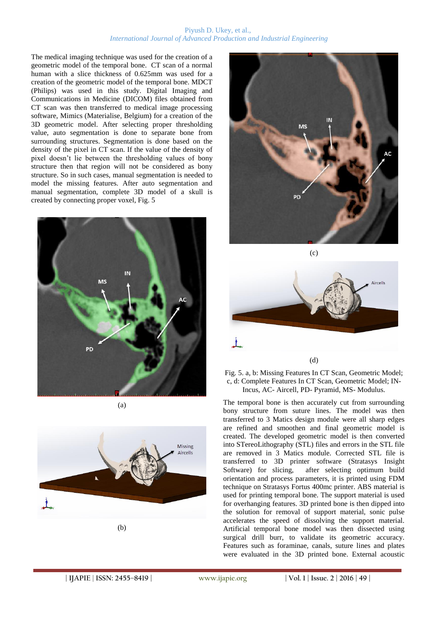#### Piyush D. Ukey, et al., *International Journal of Advanced Production and Industrial Engineering*

The medical imaging technique was used for the creation of a geometric model of the temporal bone. CT scan of a normal human with a slice thickness of 0.625mm was used for a creation of the geometric model of the temporal bone. MDCT (Philips) was used in this study. Digital Imaging and Communications in Medicine (DICOM) files obtained from CT scan was then transferred to medical image processing software, Mimics (Materialise, Belgium) for a creation of the 3D geometric model. After selecting proper thresholding value, auto segmentation is done to separate bone from surrounding structures. Segmentation is done based on the density of the pixel in CT scan. If the value of the density of pixel doesn't lie between the thresholding values of bony structure then that region will not be considered as bony structure. So in such cases, manual segmentation is needed to model the missing features. After auto segmentation and manual segmentation, complete 3D model of a skull is created by connecting proper voxel, Fig. 5



(a)









The temporal bone is then accurately cut from surrounding bony structure from suture lines. The model was then transferred to 3 Matics design module were all sharp edges are refined and smoothen and final geometric model is created. The developed geometric model is then converted into STereoLithography (STL) files and errors in the STL file are removed in 3 Matics module. Corrected STL file is transferred to 3D printer software (Stratasys Insight Software) for slicing, after selecting optimum build after selecting optimum build orientation and process parameters, it is printed using FDM technique on Stratasys Fortus 400mc printer. ABS material is used for printing temporal bone. The support material is used for overhanging features. 3D printed bone is then dipped into the solution for removal of support material, sonic pulse accelerates the speed of dissolving the support material. Artificial temporal bone model was then dissected using surgical drill burr, to validate its geometric accuracy. Features such as foraminae, canals, suture lines and plates were evaluated in the 3D printed bone. External acoustic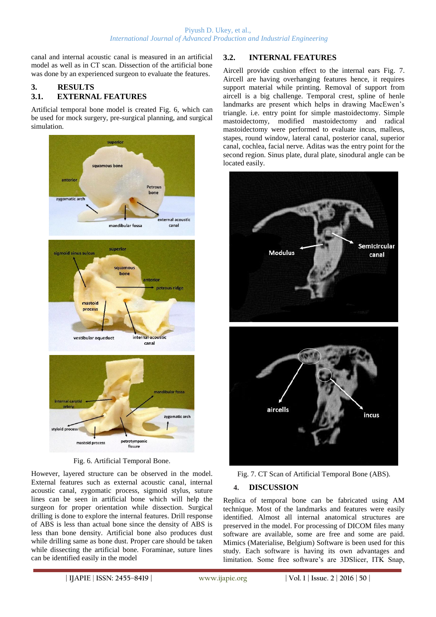canal and internal acoustic canal is measured in an artificial model as well as in CT scan. Dissection of the artificial bone was done by an experienced surgeon to evaluate the features.

## **3. RESULTS 3.1. EXTERNAL FEATURES**

Artificial temporal bone model is created Fig. 6, which can be used for mock surgery, pre-surgical planning, and surgical simulation.



Fig. 6. Artificial Temporal Bone.

However, layered structure can be observed in the model. External features such as external acoustic canal, internal acoustic canal, zygomatic process, sigmoid stylus, suture lines can be seen in artificial bone which will help the surgeon for proper orientation while dissection. Surgical drilling is done to explore the internal features. Drill response of ABS is less than actual bone since the density of ABS is less than bone density. Artificial bone also produces dust while drilling same as bone dust. Proper care should be taken while dissecting the artificial bone. Foraminae, suture lines can be identified easily in the model

## **3.2. INTERNAL FEATURES**

Aircell provide cushion effect to the internal ears Fig. 7. Aircell are having overhanging features hence, it requires support material while printing. Removal of support from aircell is a big challenge. Temporal crest, spline of henle landmarks are present which helps in drawing MacEwen's triangle. i.e. entry point for simple mastoidectomy. Simple mastoidectomy, modified mastoidectomy and radical mastoidectomy were performed to evaluate incus, malleus, stapes, round window, lateral canal, posterior canal, superior canal, cochlea, facial nerve. Aditas was the entry point for the second region. Sinus plate, dural plate, sinodural angle can be located easily.





#### **4. DISCUSSION**

Replica of temporal bone can be fabricated using AM technique. Most of the landmarks and features were easily identified. Almost all internal anatomical structures are preserved in the model. For processing of DICOM files many software are available, some are free and some are paid. Mimics (Materialise, Belgium) Software is been used for this study. Each software is having its own advantages and limitation. Some free software's are 3DSlicer, ITK Snap,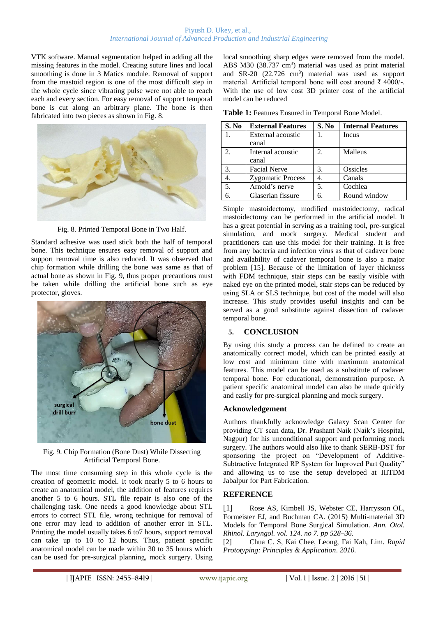#### Piyush D. Ukey, et al., *International Journal of Advanced Production and Industrial Engineering*

VTK software. Manual segmentation helped in adding all the missing features in the model. Creating suture lines and local smoothing is done in 3 Matics module. Removal of support from the mastoid region is one of the most difficult step in the whole cycle since vibrating pulse were not able to reach each and every section. For easy removal of support temporal bone is cut along an arbitrary plane. The bone is then fabricated into two pieces as shown in Fig. 8.



Fig. 8. Printed Temporal Bone in Two Half.

Standard adhesive was used stick both the half of temporal bone. This technique ensures easy removal of support and support removal time is also reduced. It was observed that chip formation while drilling the bone was same as that of actual bone as shown in Fig. 9, thus proper precautions must be taken while drilling the artificial bone such as eye protector, gloves.



Fig. 9. Chip Formation (Bone Dust) While Dissecting Artificial Temporal Bone.

The most time consuming step in this whole cycle is the creation of geometric model. It took nearly 5 to 6 hours to create an anatomical model, the addition of features requires another 5 to 6 hours. STL file repair is also one of the challenging task. One needs a good knowledge about STL errors to correct STL file, wrong technique for removal of one error may lead to addition of another error in STL. Printing the model usually takes 6 to7 hours, support removal can take up to 10 to 12 hours. Thus, patient specific anatomical model can be made within 30 to 35 hours which can be used for pre-surgical planning, mock surgery. Using local smoothing sharp edges were removed from the model. ABS M30 (38.737 cm<sup>3</sup>) material was used as print material and SR-20  $(22.726 \text{ cm}^3)$  material was used as support material. Artificial temporal bone will cost around ₹ 4000/-. With the use of low cost 3D printer cost of the artificial model can be reduced

**Table 1:** Features Ensured in Temporal Bone Model.

| S. No         | <b>External Features</b> | S. No | <b>Internal Features</b> |
|---------------|--------------------------|-------|--------------------------|
|               | External acoustic        |       | Incus                    |
|               | canal                    |       |                          |
| $\mathcal{D}$ | Internal acoustic        | 2.    | Malleus                  |
|               | canal                    |       |                          |
| 3.            | <b>Facial Nerve</b>      | 3.    | Ossicles                 |
|               | <b>Zygomatic Process</b> | 4.    | Canals                   |
| 5.            | Arnold's nerve           | 5.    | Cochlea                  |
|               | Glaserian fissure        | 6.    | Round window             |

Simple mastoidectomy, modified mastoidectomy, radical mastoidectomy can be performed in the artificial model. It has a great potential in serving as a training tool, pre-surgical simulation, and mock surgery. Medical student and practitioners can use this model for their training. It is free from any bacteria and infection virus as that of cadaver bone and availability of cadaver temporal bone is also a major problem [15]. Because of the limitation of layer thickness with FDM technique, stair steps can be easily visible with naked eye on the printed model, stair steps can be reduced by using SLA or SLS technique, but cost of the model will also increase. This study provides useful insights and can be served as a good substitute against dissection of cadaver temporal bone.

## **5. CONCLUSION**

By using this study a process can be defined to create an anatomically correct model, which can be printed easily at low cost and minimum time with maximum anatomical features. This model can be used as a substitute of cadaver temporal bone. For educational, demonstration purpose. A patient specific anatomical model can also be made quickly and easily for pre-surgical planning and mock surgery.

#### **Acknowledgement**

Authors thankfully acknowledge Galaxy Scan Center for providing CT scan data, Dr. Prashant Naik (Naik's Hospital, Nagpur) for his unconditional support and performing mock surgery. The authors would also like to thank SERB-DST for sponsoring the project on "Development of Additive-Subtractive Integrated RP System for Improved Part Quality" and allowing us to use the setup developed at IIITDM Jabalpur for Part Fabrication.

## **REFERENCE**

[1] Rose AS, Kimbell JS, Webster CE, Harrysson OL, Formeister EJ, and Buchman CA. (2015) Multi-material 3D Models for Temporal Bone Surgical Simulation. *Ann. Otol. Rhinol. Laryngol. vol. 124. no 7. pp 528–36.*

[2] Chua C. S, Kai Chee, Leong, Fai Kah, Lim. *Rapid Prototyping: Principles & Application*. *2010.*